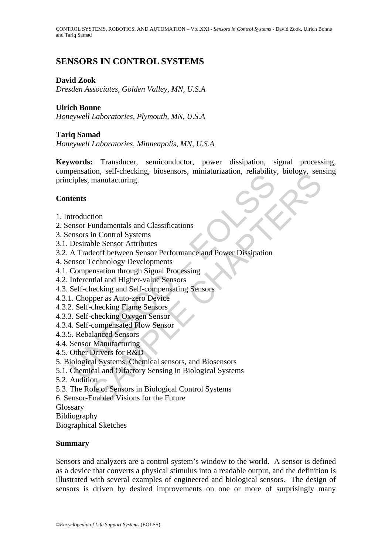CONTROL SYSTEMS, ROBOTICS, AND AUTOMATION – Vol.XXI - *Sensors in Control Systems* - David Zook, Ulrich Bonne and Tariq Samad

# **SENSORS IN CONTROL SYSTEMS**

# **David Zook**

*Dresden Associates, Golden Valley, MN, U.S.A* 

# **Ulrich Bonne**

*Honeywell Laboratories, Plymouth, MN, U.S.A* 

# **Tariq Samad**

*Honeywell Laboratories, Minneapolis, MN, U.S.A* 

Fension, son critering, critering, critering, critering, critering<br>tenles, manufacturing.<br>
Itents<br>
Itents<br>
Itents<br>
Internation Endorf Distems<br>
Desirable Sensor Attributes<br>
A Tradeoff between Sensor Performance and Power Di For the State of Series of Series Charles Chapter Schemes Charles (Series and Tonorio I State Schemes Charl Schemes (Series Schemes Technology Developments)<br>Shows the State Charlo State (Series Schemes Technology Developme **Keywords:** Transducer, semiconductor, power dissipation, signal processing, compensation, self-checking, biosensors, miniaturization, reliability, biology, sensing principles, manufacturing.

# **Contents**

- 1. Introduction
- 2. Sensor Fundamentals and Classifications
- 3. Sensors in Control Systems
- 3.1. Desirable Sensor Attributes
- 3.2. A Tradeoff between Sensor Performance and Power Dissipation
- 4. Sensor Technology Developments
- 4.1. Compensation through Signal Processing
- 4.2. Inferential and Higher-value Sensors
- 4.3. Self-checking and Self-compensating Sensors
- 4.3.1. Chopper as Auto-zero Device
- 4.3.2. Self-checking Flame Sensors
- 4.3.3. Self-checking Oxygen Sensor
- 4.3.4. Self-compensated Flow Sensor
- 4.3.5. Rebalanced Sensors
- 4.4. Sensor Manufacturing
- 4.5. Other Drivers for R&D
- 5. Biological Systems, Chemical sensors, and Biosensors
- 5.1. Chemical and Olfactory Sensing in Biological Systems
- 5.2. Audition
- 5.3. The Role of Sensors in Biological Control Systems
- 6. Sensor-Enabled Visions for the Future
- Glossary
- Bibliography
- Biographical Sketches

# **Summary**

Sensors and analyzers are a control system's window to the world. A sensor is defined as a device that converts a physical stimulus into a readable output, and the definition is illustrated with several examples of engineered and biological sensors. The design of sensors is driven by desired improvements on one or more of surprisingly many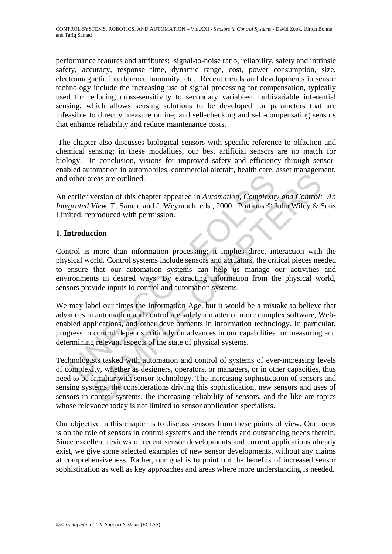performance features and attributes: signal-to-noise ratio, reliability, safety and intrinsic safety, accuracy, response time, dynamic range, cost, power consumption, size, electromagnetic interference immunity, etc. Recent trends and developments in sensor technology include the increasing use of signal processing for compensation, typically used for reducing cross-sensitivity to secondary variables; multivariable inferential sensing, which allows sensing solutions to be developed for parameters that are infeasible to directly measure online; and self-checking and self-compensating sensors that enhance reliability and reduce maintenance costs.

 The chapter also discusses biological sensors with specific reference to olfaction and chemical sensing; in these modalities, our best artificial sensors are no match for biology. In conclusion, visions for improved safety and efficiency through sensorenabled automation in automobiles, commercial aircraft, health care, asset management, and other areas are outlined.

An earlier version of this chapter appeared in *Automation, Complexity and Control: An Integrated View*, T. Samad and J. Weyrauch, eds., 2000. Portions © John Wiley & Sons Limited; reproduced with permission.

# **1. Introduction**

other areas are outlined.<br>
earlier version of this chapter appeared in *Automation*, *Complexit*<br> *grated View*, T. Samad and J. Weyrauch, eds., 2000. Portions © J<br>
itted; reproduced with permission.<br> **antroduction**<br>
trol Control is more than information processing; it implies direct interaction with the physical world. Control systems include sensors and actuators, the critical pieces needed to ensure that our automation systems can help us manage our activities and environments in desired ways. By extracting information from the physical world, sensors provide inputs to control and automation systems.

We may label our times the Information Age, but it would be a mistake to believe that advances in automation and control are solely a matter of more complex software, Webenabled applications, and other developments in information technology. In particular, progress in control depends critically on advances in our capabilities for measuring and determining relevant aspects of the state of physical systems.

reas are outlined.<br>
version of this chapter appeared in Automation. Complexity and Control:<br>
View, T. Samad and J. Weyrauch, eds., 2000. Portions © John Wiley & S.<br>
produced with permission.<br>
ertion<br>
more than information Technologists tasked with automation and control of systems of ever-increasing levels of complexity, whether as designers, operators, or managers, or in other capacities, thus need to be familiar with sensor technology. The increasing sophistication of sensors and sensing systems, the considerations driving this sophistication, new sensors and uses of sensors in control systems, the increasing reliability of sensors, and the like are topics whose relevance today is not limited to sensor application specialists.

Our objective in this chapter is to discuss sensors from these points of view. Our focus is on the role of sensors in control systems and the trends and outstanding needs therein. Since excellent reviews of recent sensor developments and current applications already exist, we give some selected examples of new sensor developments, without any claims at comprehensiveness. Rather, our goal is to point out the benefits of increased sensor sophistication as well as key approaches and areas where more understanding is needed.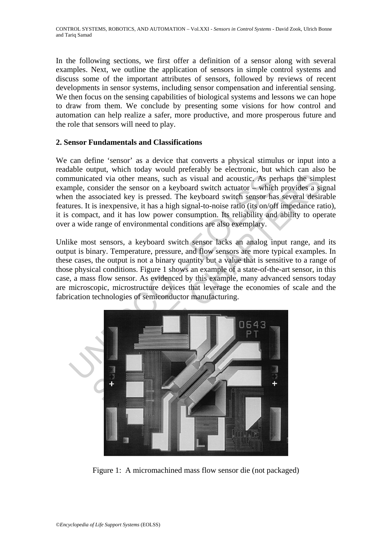In the following sections, we first offer a definition of a sensor along with several examples. Next, we outline the application of sensors in simple control systems and discuss some of the important attributes of sensors, followed by reviews of recent developments in sensor systems, including sensor compensation and inferential sensing. We then focus on the sensing capabilities of biological systems and lessons we can hope to draw from them. We conclude by presenting some visions for how control and automation can help realize a safer, more productive, and more prosperous future and the role that sensors will need to play.

# **2. Sensor Fundamentals and Classifications**

We can define 'sensor' as a device that converts a physical stimulus or input into a readable output, which today would preferably be electronic, but which can also be communicated via other means, such as visual and acoustic. As perhaps the simplest example, consider the sensor on a keyboard switch actuator – which provides a signal when the associated key is pressed. The keyboard switch sensor has several desirable features. It is inexpensive, it has a high signal-to-noise ratio (its on/off impedance ratio), it is compact, and it has low power consumption. Its reliability and ability to operate over a wide range of environmental conditions are also exemplary.

Unlike most sensors, a keyboard switch sensor lacks an analog input range, and its output is binary. Temperature, pressure, and flow sensors are more typical examples. In these cases, the output is not a binary quantity but a value that is sensitive to a range of those physical conditions. Figure 1 shows an example of a state-of-the-art sensor, in this case, a mass flow sensor. As evidenced by this example, many advanced sensors today are microscopic, microstructure devices that leverage the economies of scale and the fabrication technologies of semiconductor manufacturing.



Figure 1: A micromachined mass flow sensor die (not packaged)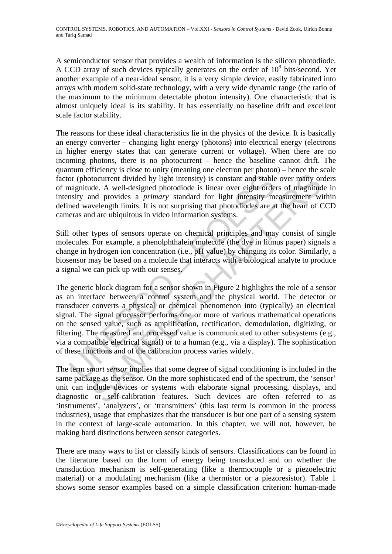A semiconductor sensor that provides a wealth of information is the silicon photodiode. A CCD array of such devices typically generates on the order of  $10^9$  bits/second. Yet another example of a near-ideal sensor, it is a very simple device, easily fabricated into arrays with modern solid-state technology, with a very wide dynamic range (the ratio of the maximum to the minimum detectable photon intensity). One characteristic that is almost uniquely ideal is its stability. It has essentially no baseline drift and excellent scale factor stability.

The reasons for these ideal characteristics lie in the physics of the device. It is basically an energy converter – changing light energy (photons) into electrical energy (electrons in higher energy states that can generate current or voltage). When there are no incoming photons, there is no photocurrent – hence the baseline cannot drift. The quantum efficiency is close to unity (meaning one electron per photon) – hence the scale factor (photocurrent divided by light intensity) is constant and stable over many orders of magnitude. A well-designed photodiode is linear over eight orders of magnitude in intensity and provides a *primary* standard for light intensity measurement within defined wavelength limits. It is not surprising that photodiodes are at the heart of CCD cameras and are ubiquitous in video information systems.

Still other types of sensors operate on chemical principles and may consist of single molecules. For example, a phenolphthalein molecule (the dye in litmus paper) signals a change in hydrogen ion concentration (i.e., pH value) by changing its color. Similarly, a biosensor may be based on a molecule that interacts with a biological analyte to produce a signal we can pick up with our senses.

for (photocurrent divided by light intensity) is constant and stable<br>aagnitude. A well-designed photodiode is linear over eight orde<br>nsity and provides a *primary* standard for light intensity mend wavelength limits. It i isometric divided by light intensity) is constant and stable over many or<br>docurrent divided by light intensity) is constant and stable over many or<br>de. A well-designed photodiode is linear over eight orders of magnitud<br>al The generic block diagram for a sensor shown in Figure 2 highlights the role of a sensor as an interface between a control system and the physical world. The detector or transducer converts a physical or chemical phenomenon into (typically) an electrical signal. The signal processor performs one or more of various mathematical operations on the sensed value, such as amplification, rectification, demodulation, digitizing, or filtering. The measured and processed value is communicated to other subsystems (e.g., via a compatible electrical signal) or to a human (e.g., via a display). The sophistication of these functions and of the calibration process varies widely.

The term *smart sensor* implies that some degree of signal conditioning is included in the same package as the sensor. On the more sophisticated end of the spectrum, the 'sensor' unit can include devices or systems with elaborate signal processing, displays, and diagnostic or self-calibration features. Such devices are often referred to as 'instruments', 'analyzers', or 'transmitters' (this last term is common in the process industries), usage that emphasizes that the transducer is but one part of a sensing system in the context of large-scale automation. In this chapter, we will not, however, be making hard distinctions between sensor categories.

There are many ways to list or classify kinds of sensors. Classifications can be found in the literature based on the form of energy being transduced and on whether the transduction mechanism is self-generating (like a thermocouple or a piezoelectric material) or a modulating mechanism (like a thermistor or a piezoresistor). Table 1 shows some sensor examples based on a simple classification criterion: human-made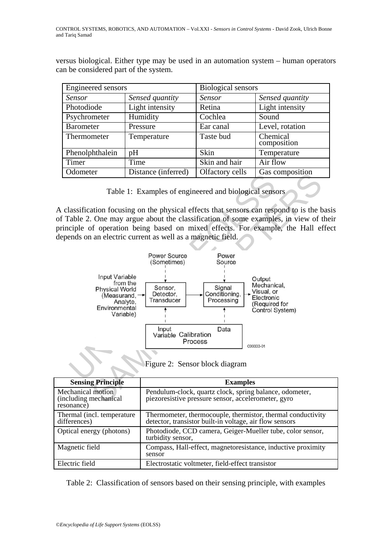versus biological. Either type may be used in an automation system – human operators can be considered part of the system.

| Engineered sensors |                     | <b>Biological sensors</b> |                         |
|--------------------|---------------------|---------------------------|-------------------------|
| Sensor             | Sensed quantity     | Sensor                    | Sensed quantity         |
| Photodiode         | Light intensity     | Retina                    | Light intensity         |
| Psychrometer       | Humidity            | Cochlea                   | Sound                   |
| <b>Barometer</b>   | Pressure            | Ear canal                 | Level, rotation         |
| Thermometer        | Temperature         | Taste bud                 | Chemical<br>composition |
| Phenolphthalein    | pH                  | Skin                      | Temperature             |
| Timer              | Time                | Skin and hair             | Air flow                |
| Odometer           | Distance (inferred) | Olfactory cells           | Gas composition         |



A classification focusing on the physical effects that sensors can respond to is the basis of Table 2. One may argue about the classification of some examples, in view of their principle of operation being based on mixed effects. For example, the Hall effect depends on an electric current as well as a magnetic field.



| Figure 2: Sensor block diagram |  |  |
|--------------------------------|--|--|
|                                |  |  |
|                                |  |  |
|                                |  |  |

| <b>Sensing Principle</b>                                        | <b>Examples</b>                                                                                                        |
|-----------------------------------------------------------------|------------------------------------------------------------------------------------------------------------------------|
| <b>Mechanical motion</b><br>(including mechanical<br>resonance) | Pendulum-clock, quartz clock, spring balance, odometer,<br>piezoresistive pressure sensor, accelerometer, gyro         |
| Thermal (incl. temperature<br>differences)                      | Thermometer, thermocouple, thermistor, thermal conductivity<br>detector, transistor built-in voltage, air flow sensors |
| Optical energy (photons)                                        | Photodiode, CCD camera, Geiger-Mueller tube, color sensor,<br>turbidity sensor,                                        |
| Magnetic field                                                  | Compass, Hall-effect, magnetoresistance, inductive proximity<br>sensor                                                 |
| Electric field                                                  | Electrostatic voltmeter, field-effect transistor                                                                       |

Table 2: Classification of sensors based on their sensing principle, with examples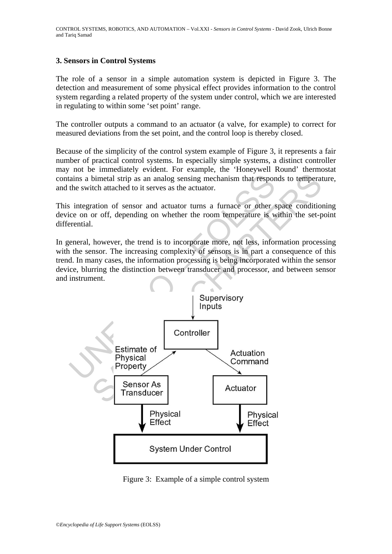# **3. Sensors in Control Systems**

The role of a sensor in a simple automation system is depicted in Figure 3. The detection and measurement of some physical effect provides information to the control system regarding a related property of the system under control, which we are interested in regulating to within some 'set point' range.

The controller outputs a command to an actuator (a valve, for example) to correct for measured deviations from the set point, and the control loop is thereby closed.

Because of the simplicity of the control system example of Figure 3, it represents a fair number of practical control systems. In especially simple systems, a distinct controller may not be immediately evident. For example, the 'Honeywell Round' thermostat contains a bimetal strip as an analog sensing mechanism that responds to temperature, and the switch attached to it serves as the actuator.

This integration of sensor and actuator turns a furnace or other space conditioning device on or off, depending on whether the room temperature is within the set-point differential.

In general, however, the trend is to incorporate more, not less, information processing with the sensor. The increasing complexity of sensors is in part a consequence of this trend. In many cases, the information processing is being incorporated within the sensor device, blurring the distinction between transducer and processor, and between sensor and instrument.



Figure 3: Example of a simple control system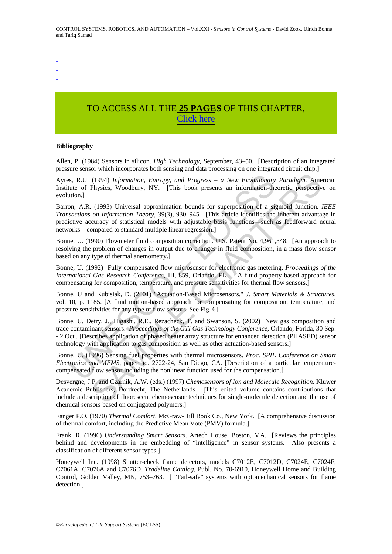-

- -

# TO ACCESS ALL THE **25 PAGES** OF THIS CHAPTER, [C](https://www.eolss.net/ebooklib/sc_cart.aspx?File=E6-43-37-01)[lick here](http://www.eolss.net/Eolss-sampleAllChapter.aspx)

#### **Bibliography**

Allen, P. (1984) Sensors in silicon. *High Technology*, September, 43–50. [Description of an integrated pressure sensor which incorporates both sensing and data processing on one integrated circuit chip.]

Ayres, R.U. (1994) *Information, Entropy, and Progress – a New Evolutionary Paradigm*. American Institute of Physics, Woodbury, NY. [This book presents an information-theoretic perspective on evolution.]

s, R.U. (1994) *Information, Entropy, and Progress – a New Evolutionary*<br>tute of Physics, Woodbury, NY. [This book presents an information-the<br>tion.]<br>mon, A.R. (1993) Universal approximation bounds for superposition of a (1994) *Information, Entropy, and Progress – a New Evolutionary Paradigm.* Ame<br>Physics, Woodbury, NY. [This book presents an information-theoretic perspective<br>(1993) Universal approximation bounds for superposition of a s Barron, A.R. (1993) Universal approximation bounds for superposition of a sigmoid function. *IEEE Transactions on Information Theory*, 39(3), 930–945. [This article identifies the inherent advantage in predictive accuracy of statistical models with adjustable basis functions—such as feedforward neural networks—compared to standard multiple linear regression.]

Bonne, U. (1990) Flowmeter fluid composition correction. U.S. Patent No. 4,961,348. [An approach to resolving the problem of changes in output due to changes in fluid composition, in a mass flow sensor based on any type of thermal anemometry.]

Bonne, U. (1992) Fully compensated flow microsensor for electronic gas metering. *Proceedings of the International Gas Research Conference,* III, 859, Orlando, FL. [A fluid-property-based approach for compensating for composition, temperature, and pressure sensitivities for thermal flow sensors.]

Bonne, U and Kubisiak, D. (2001) "Actuation-Based Microsensors," *J. Smart Materials & Structures*, vol. 10, p. 1185. [A fluid motion-based approach for compensating for composition, temperature, and pressure sensitivities for any type of flow sensors. See Fig. 6]

Bonne, U, Detry, J., Higashi, R.E., Rezacheck, T. and Swanson, S. (2002) New gas composition and trace contaminant sensors. *Proceedings of the GTI Gas Technology Conference*, Orlando, Forida, 30 Sep. - 2 Oct.. [Describes application of phased heater array structure for enhanced detection (PHASED) sensor technology with application to gas composition as well as other actuation-based sensors.]

Bonne, U. (1996) Sensing fuel properties with thermal microsensors. *Proc. SPIE Conference on Smart Electronics and MEMS*, paper no. 2722-24, San Diego, CA. [Description of a particular temperaturecompensated flow sensor including the nonlinear function used for the compensation.]

Desvergne, J.P. and Czarnik, A.W. (eds.) (1997) *Chemosensors of Ion and Molecule Recognition*. Kluwer Academic Publishers, Dordrecht, The Netherlands. [This edited volume contains contributions that include a description of fluorescent chemosensor techniques for single-molecule detection and the use of chemical sensors based on conjugated polymers.]

Fanger P.O. (1970) *Thermal Comfort*. McGraw-Hill Book Co., New York. [A comprehensive discussion of thermal comfort, including the Predictive Mean Vote (PMV) formula.]

Frank, R. (1996) *Understanding Smart Sensors*. Artech House, Boston, MA. [Reviews the principles behind and developments in the embedding of "intelligence" in sensor systems. Also presents a classification of different sensor types.]

Honeywell Inc. (1998) Shutter-check flame detectors, models C7012E, C7012D, C7024E, C7024F, C7061A, C7076A and C7076D. *Tradeline Catalog*, Publ. No. 70-6910, Honeywell Home and Building Control, Golden Valley, MN, 753–763. [ "Fail-safe" systems with optomechanical sensors for flame detection.]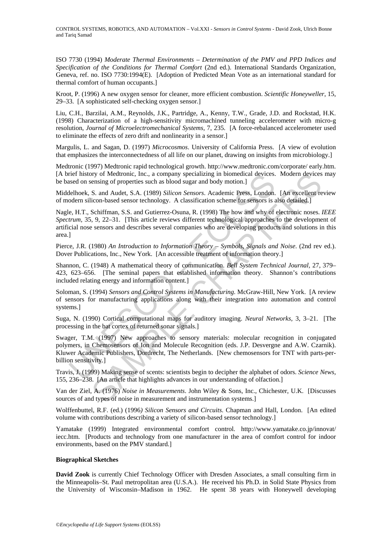CONTROL SYSTEMS, ROBOTICS, AND AUTOMATION – Vol.XXI - *Sensors in Control Systems* - David Zook, Ulrich Bonne and Tariq Samad

ISO 7730 (1994) *Moderate Thermal Environments – Determination of the PMV and PPD Indices and Specification of the Conditions for Thermal Comfort* (2nd ed.). International Standards Organization, Geneva, ref. no. ISO 7730:1994(E). [Adoption of Predicted Mean Vote as an international standard for thermal comfort of human occupants.]

Kroot, P. (1996) A new oxygen sensor for cleaner, more efficient combustion. *Scientific Honeyweller*, 15, 29–33. [A sophisticated self-checking oxygen sensor.]

Liu, C.H., Barzilai, A.M., Reynolds, J.K., Partridge, A., Kenny, T.W., Grade, J.D. and Rockstad, H.K. (1998) Characterization of a high-sensitivity micromachined tunneling accelerometer with micro-g resolution, *Journal of Microelectromechanical Systems,* 7, 235. [A force-rebalanced accelerometer used to eliminate the effects of zero drift and nonlinearity in a sensor.]

Margulis, L. and Sagan, D. (1997) *Microcosmos*. University of California Press. [A view of evolution that emphasizes the interconnectedness of all life on our planet, drawing on insights from microbiology.]

Medtronic (1997) Medtronic rapid technological growth. http://www.medtronic.com/corporate/ early.htm. [A brief history of Medtronic, Inc., a company specializing in biomedical devices. Modern devices may be based on sensing of properties such as blood sugar and body motion.]

Middelhoek, S. and Audet, S.A. (1989) *Silicon Sensors*. Academic Press, London. [An excellent review of modern silicon-based sensor technology. A classification scheme for sensors is also detailed.]

met history of Meditronic, Inc., a company specializing in biometical devices.<br>
sied on sensing of properties such as blood sugar and body motion.]<br>
delehoek, S. and Audet, S.A. (1989) Silicon Sensors: Academic Presss, Lon ory of Medronic, Inc., a company specializing in bionedical devices. Modern devices<br>ensing of properties such as blood sugar and body motion.]<br>S. and Audet, S.A. (1989) *Silicon Sensors*. Reademic Press, London. [An excel Nagle, H.T., Schiffman, S.S. and Gutierrez-Osuna, R. (1998) The how and why of electronic noses. *IEEE Spectrum,* 35, 9, 22–31. [This article reviews different technological approaches to the development of artificial nose sensors and describes several companies who are developing products and solutions in this area.]

Pierce, J.R. (1980) *An Introduction to Information Theory – Symbols, Signals and Noise*. (2nd rev ed.). Dover Publications, Inc., New York. [An accessible treatment of information theory.]

Shannon, C. (1948) A mathematical theory of communication. *Bell System Technical Journal,* 27, 379– 423, 623–656. [The seminal papers that established information theory. Shannon's contributions included relating energy and information content.]

Soloman, S. (1994) *Sensors and Control Systems in Manufacturing*. McGraw-Hill, New York. [A review of sensors for manufacturing applications along with their integration into automation and control systems.]

Suga, N. (1990) Cortical computational maps for auditory imaging. *Neural Networks,* 3, 3–21. [The processing in the bat cortex of returned sonar signals.]

Swager, T.M. (1997) New approaches to sensory materials: molecular recognition in conjugated polymers, in Chemosensors of Ion and Molecule Recognition (eds. J.P. Desvergne and A.W. Czarnik). Kluwer Academic Publishers, Dordrecht, The Netherlands. [New chemosensors for TNT with parts-perbillion sensitivity.]

Travis, J. (1999) Making sense of scents: scientists begin to decipher the alphabet of odors. *Science News,* 155, 236–238. [An article that highlights advances in our understanding of olfaction.]

Van der Ziel, A. (1976) *Noise in Measurements*. John Wiley & Sons, Inc., Chichester, U.K. [Discusses sources of and types of noise in measurement and instrumentation systems.]

Wolffenbuttel, R.F. (ed.) (1996*) Silicon Sensors and Circuits*. Chapman and Hall, London. [An edited volume with contributions describing a variety of silicon-based sensor technology.]

Yamatake (1999) Integrated environmental comfort control. http://www.yamatake.co.jp/innovat/ iecc.htm. [Products and technology from one manufacturer in the area of comfort control for indoor environments, based on the PMV standard.]

#### **Biographical Sketches**

**David Zook** is currently Chief Technology Officer with Dresden Associates, a small consulting firm in the Minneapolis–St. Paul metropolitan area (U.S.A.). He received his Ph.D. in Solid State Physics from the University of Wisconsin–Madison in 1962. He spent 38 years with Honeywell developing